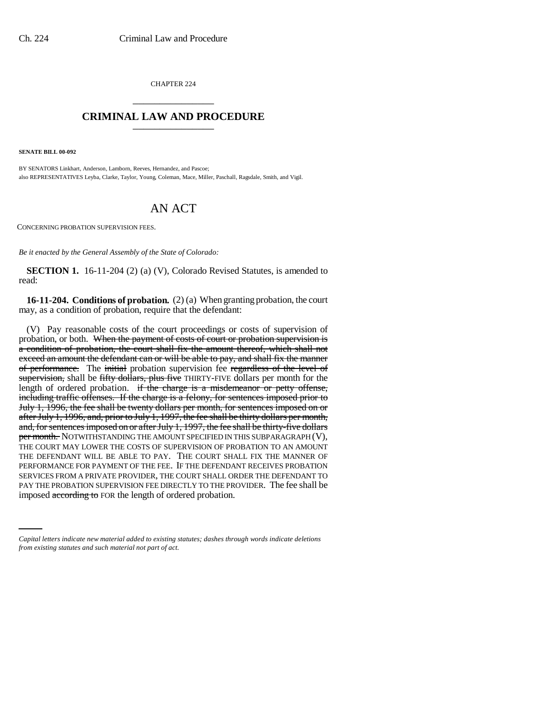CHAPTER 224 \_\_\_\_\_\_\_\_\_\_\_\_\_\_\_

## **CRIMINAL LAW AND PROCEDURE** \_\_\_\_\_\_\_\_\_\_\_\_\_\_\_

**SENATE BILL 00-092** 

BY SENATORS Linkhart, Anderson, Lamborn, Reeves, Hernandez, and Pascoe; also REPRESENTATIVES Leyba, Clarke, Taylor, Young, Coleman, Mace, Miller, Paschall, Ragsdale, Smith, and Vigil.

## AN ACT

CONCERNING PROBATION SUPERVISION FEES.

*Be it enacted by the General Assembly of the State of Colorado:*

**SECTION 1.** 16-11-204 (2) (a) (V), Colorado Revised Statutes, is amended to read:

**16-11-204. Conditions of probation.** (2) (a) When granting probation, the court may, as a condition of probation, require that the defendant:

PAY THE PROBATION SUPERVISION FEE DIRECTLY TO THE PROVIDER. The fee shall be (V) Pay reasonable costs of the court proceedings or costs of supervision of probation, or both. When the payment of costs of court or probation supervision is a condition of probation, the court shall fix the amount thereof, which shall not exceed an amount the defendant can or will be able to pay, and shall fix the manner of performance. The initial probation supervision fee regardless of the level of supervision, shall be fifty dollars, plus five THIRTY-FIVE dollars per month for the length of ordered probation. if the charge is a misdemeanor or petty offense, including traffic offenses. If the charge is a felony, for sentences imposed prior to July 1, 1996, the fee shall be twenty dollars per month, for sentences imposed on or after July 1, 1996, and, prior to July 1, 1997, the fee shall be thirty dollars per month, and, for sentences imposed on or after July 1, 1997, the fee shall be thirty-five dollars per month. NOTWITHSTANDING THE AMOUNT SPECIFIED IN THIS SUBPARAGRAPH (V), THE COURT MAY LOWER THE COSTS OF SUPERVISION OF PROBATION TO AN AMOUNT THE DEFENDANT WILL BE ABLE TO PAY. THE COURT SHALL FIX THE MANNER OF PERFORMANCE FOR PAYMENT OF THE FEE. IF THE DEFENDANT RECEIVES PROBATION SERVICES FROM A PRIVATE PROVIDER, THE COURT SHALL ORDER THE DEFENDANT TO imposed according to FOR the length of ordered probation.

*Capital letters indicate new material added to existing statutes; dashes through words indicate deletions from existing statutes and such material not part of act.*